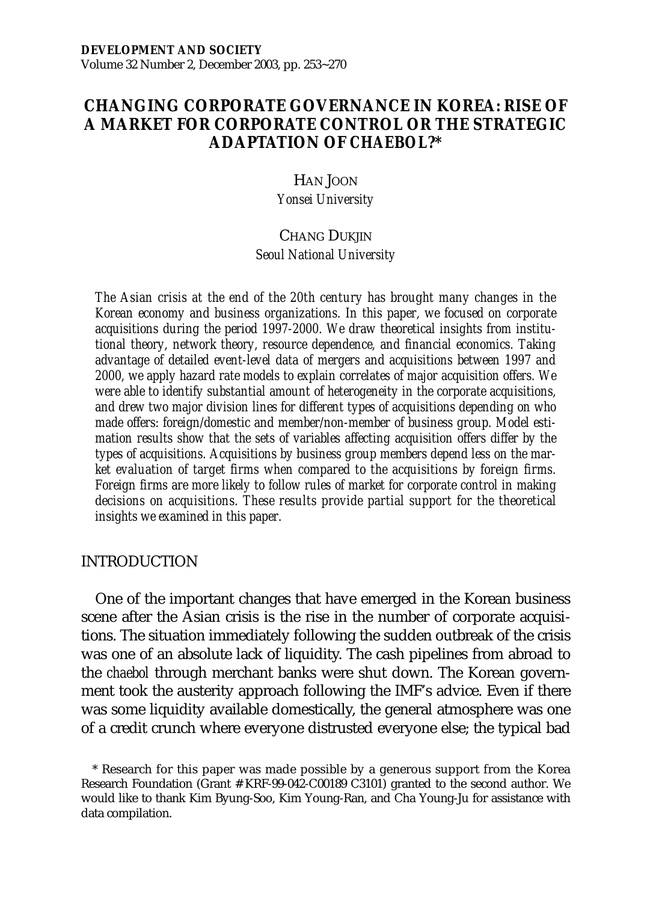# **CHANGING CORPORATE GOVERNANCE IN KOREA: RISE OF A MARKET FOR CORPORATE CONTROL OR THE STRATEGIC ADAPTATION OF** *CHAEBOL***?\***

HAN JOON *Yonsei University*

### CHANG DUKJIN

*Seoul National University*

*The Asian crisis at the end of the 20th century has brought many changes in the Korean economy and business organizations. In this paper, we focused on corporate acquisitions during the period 1997-2000. We draw theoretical insights from institutional theory, network theory, resource dependence, and financial economics. Taking advantage of detailed event-level data of mergers and acquisitions between 1997 and 2000, we apply hazard rate models to explain correlates of major acquisition offers. We were able to identify substantial amount of heterogeneity in the corporate acquisitions, and drew two major division lines for different types of acquisitions depending on who made offers: foreign/domestic and member/non-member of business group. Model estimation results show that the sets of variables affecting acquisition offers differ by the types of acquisitions. Acquisitions by business group members depend less on the market evaluation of target firms when compared to the acquisitions by foreign firms. Foreign firms are more likely to follow rules of market for corporate control in making decisions on acquisitions. These results provide partial support for the theoretical insights we examined in this paper.*

### INTRODUCTION

One of the important changes that have emerged in the Korean business scene after the Asian crisis is the rise in the number of corporate acquisitions. The situation immediately following the sudden outbreak of the crisis was one of an absolute lack of liquidity. The cash pipelines from abroad to the *chaebol* through merchant banks were shut down. The Korean government took the austerity approach following the IMF's advice. Even if there was some liquidity available domestically, the general atmosphere was one of a credit crunch where everyone distrusted everyone else; the typical bad

\* Research for this paper was made possible by a generous support from the Korea Research Foundation (Grant # KRF-99-042-C00189 C3101) granted to the second author. We would like to thank Kim Byung-Soo, Kim Young-Ran, and Cha Young-Ju for assistance with data compilation.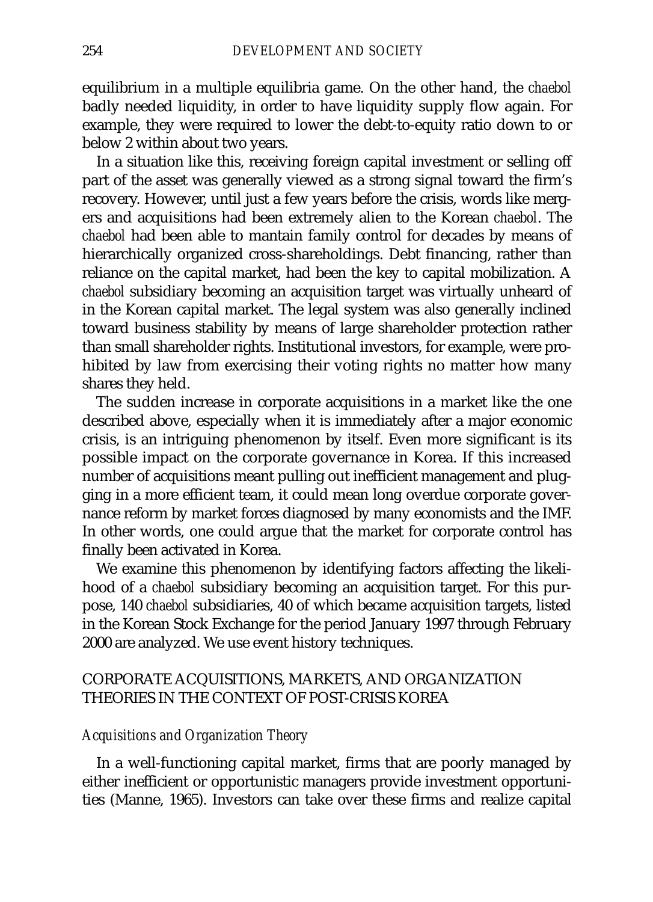equilibrium in a multiple equilibria game. On the other hand, the *chaebol* badly needed liquidity, in order to have liquidity supply flow again. For example, they were required to lower the debt-to-equity ratio down to or below 2 within about two years.

In a situation like this, receiving foreign capital investment or selling off part of the asset was generally viewed as a strong signal toward the firm's recovery. However, until just a few years before the crisis, words like mergers and acquisitions had been extremely alien to the Korean *chaebol*. The *chaebol* had been able to mantain family control for decades by means of hierarchically organized cross-shareholdings. Debt financing, rather than reliance on the capital market, had been the key to capital mobilization. A *chaebol* subsidiary becoming an acquisition target was virtually unheard of in the Korean capital market. The legal system was also generally inclined toward business stability by means of large shareholder protection rather than small shareholder rights. Institutional investors, for example, were prohibited by law from exercising their voting rights no matter how many shares they held.

The sudden increase in corporate acquisitions in a market like the one described above, especially when it is immediately after a major economic crisis, is an intriguing phenomenon by itself. Even more significant is its possible impact on the corporate governance in Korea. If this increased number of acquisitions meant pulling out inefficient management and plugging in a more efficient team, it could mean long overdue corporate governance reform by market forces diagnosed by many economists and the IMF. In other words, one could argue that the market for corporate control has finally been activated in Korea.

We examine this phenomenon by identifying factors affecting the likelihood of a *chaebol* subsidiary becoming an acquisition target. For this purpose, 140 *chaebol* subsidiaries, 40 of which became acquisition targets, listed in the Korean Stock Exchange for the period January 1997 through February 2000 are analyzed. We use event history techniques.

# CORPORATE ACQUISITIONS, MARKETS, AND ORGANIZATION THEORIES IN THE CONTEXT OF POST-CRISIS KOREA

### *Acquisitions and Organization Theory*

In a well-functioning capital market, firms that are poorly managed by either inefficient or opportunistic managers provide investment opportunities (Manne, 1965). Investors can take over these firms and realize capital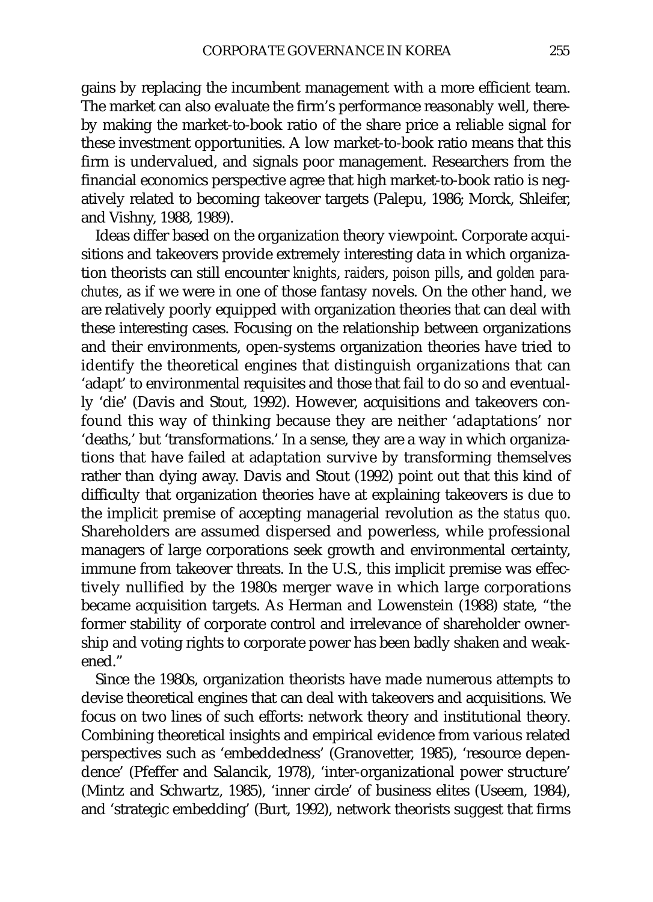gains by replacing the incumbent management with a more efficient team. The market can also evaluate the firm's performance reasonably well, thereby making the market-to-book ratio of the share price a reliable signal for these investment opportunities. A low market-to-book ratio means that this firm is undervalued, and signals poor management. Researchers from the financial economics perspective agree that high market-to-book ratio is negatively related to becoming takeover targets (Palepu, 1986; Morck, Shleifer, and Vishny, 1988, 1989).

Ideas differ based on the organization theory viewpoint. Corporate acquisitions and takeovers provide extremely interesting data in which organization theorists can still encounter *knights*, *raiders*, *poison pills*, and *golden parachutes*, as if we were in one of those fantasy novels. On the other hand, we are relatively poorly equipped with organization theories that can deal with these interesting cases. Focusing on the relationship between organizations and their environments, open-systems organization theories have tried to identify the theoretical engines that distinguish organizations that can 'adapt' to environmental requisites and those that fail to do so and eventually 'die' (Davis and Stout, 1992). However, acquisitions and takeovers confound this way of thinking because they are neither 'adaptations' nor 'deaths,' but 'transformations.' In a sense, they are a way in which organizations that have failed at adaptation survive by transforming themselves rather than dying away. Davis and Stout (1992) point out that this kind of difficulty that organization theories have at explaining takeovers is due to the implicit premise of accepting managerial revolution as the *status quo*. Shareholders are assumed dispersed and powerless, while professional managers of large corporations seek growth and environmental certainty, immune from takeover threats. In the U.S., this implicit premise was effectively nullified by the 1980s merger wave in which large corporations became acquisition targets. As Herman and Lowenstein (1988) state, "the former stability of corporate control and irrelevance of shareholder ownership and voting rights to corporate power has been badly shaken and weakened."

Since the 1980s, organization theorists have made numerous attempts to devise theoretical engines that can deal with takeovers and acquisitions. We focus on two lines of such efforts: network theory and institutional theory. Combining theoretical insights and empirical evidence from various related perspectives such as 'embeddedness' (Granovetter, 1985), 'resource dependence' (Pfeffer and Salancik, 1978), 'inter-organizational power structure' (Mintz and Schwartz, 1985), 'inner circle' of business elites (Useem, 1984), and 'strategic embedding' (Burt, 1992), network theorists suggest that firms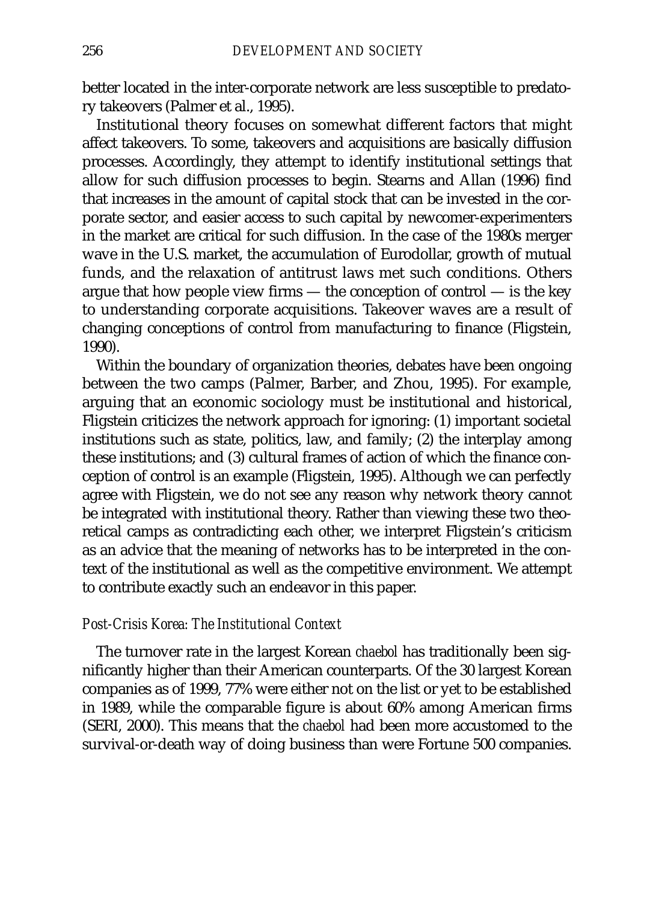better located in the inter-corporate network are less susceptible to predatory takeovers (Palmer et al., 1995).

Institutional theory focuses on somewhat different factors that might affect takeovers. To some, takeovers and acquisitions are basically diffusion processes. Accordingly, they attempt to identify institutional settings that allow for such diffusion processes to begin. Stearns and Allan (1996) find that increases in the amount of capital stock that can be invested in the corporate sector, and easier access to such capital by newcomer-experimenters in the market are critical for such diffusion. In the case of the 1980s merger wave in the U.S. market, the accumulation of Eurodollar, growth of mutual funds, and the relaxation of antitrust laws met such conditions. Others argue that how people view firms  $-$  the conception of control  $-$  is the key to understanding corporate acquisitions. Takeover waves are a result of changing conceptions of control from manufacturing to finance (Fligstein, 1990).

Within the boundary of organization theories, debates have been ongoing between the two camps (Palmer, Barber, and Zhou, 1995). For example, arguing that an economic sociology must be institutional and historical, Fligstein criticizes the network approach for ignoring: (1) important societal institutions such as state, politics, law, and family; (2) the interplay among these institutions; and (3) cultural frames of action of which the finance conception of control is an example (Fligstein, 1995). Although we can perfectly agree with Fligstein, we do not see any reason why network theory cannot be integrated with institutional theory. Rather than viewing these two theoretical camps as contradicting each other, we interpret Fligstein's criticism as an advice that the meaning of networks has to be interpreted in the context of the institutional as well as the competitive environment. We attempt to contribute exactly such an endeavor in this paper.

## *Post-Crisis Korea: The Institutional Context*

The turnover rate in the largest Korean *chaebol* has traditionally been significantly higher than their American counterparts. Of the 30 largest Korean companies as of 1999, 77% were either not on the list or yet to be established in 1989, while the comparable figure is about 60% among American firms (SERI, 2000). This means that the *chaebol* had been more accustomed to the survival-or-death way of doing business than were Fortune 500 companies.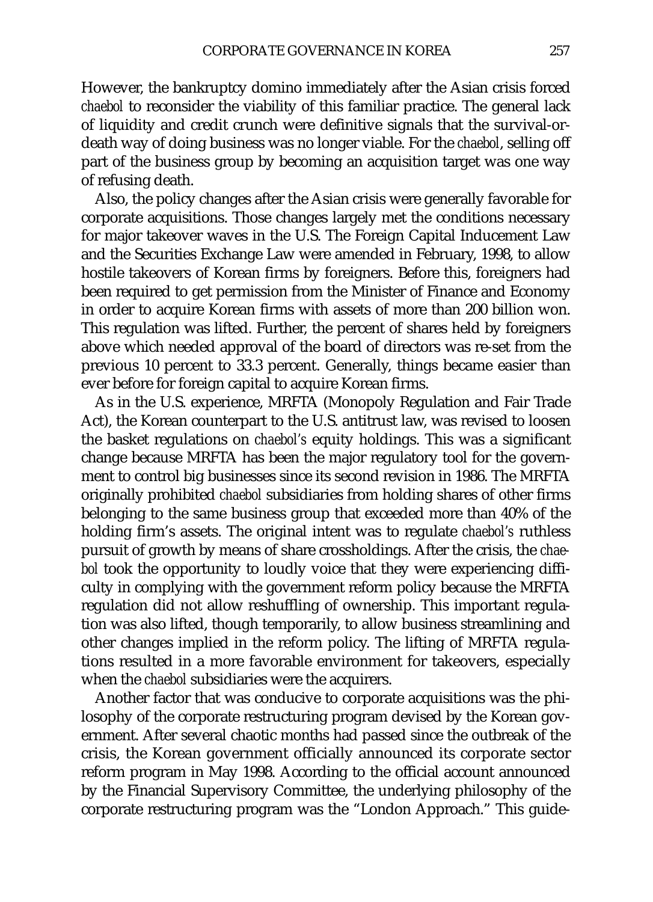However, the bankruptcy domino immediately after the Asian crisis forced *chaebol* to reconsider the viability of this familiar practice. The general lack of liquidity and credit crunch were definitive signals that the survival-ordeath way of doing business was no longer viable. For the *chaebol*, selling off part of the business group by becoming an acquisition target was one way of refusing death.

Also, the policy changes after the Asian crisis were generally favorable for corporate acquisitions. Those changes largely met the conditions necessary for major takeover waves in the U.S. The Foreign Capital Inducement Law and the Securities Exchange Law were amended in February, 1998, to allow hostile takeovers of Korean firms by foreigners. Before this, foreigners had been required to get permission from the Minister of Finance and Economy in order to acquire Korean firms with assets of more than 200 billion won. This regulation was lifted. Further, the percent of shares held by foreigners above which needed approval of the board of directors was re-set from the previous 10 percent to 33.3 percent. Generally, things became easier than ever before for foreign capital to acquire Korean firms.

As in the U.S. experience, MRFTA (Monopoly Regulation and Fair Trade Act), the Korean counterpart to the U.S. antitrust law, was revised to loosen the basket regulations on *chaebol's* equity holdings. This was a significant change because MRFTA has been the major regulatory tool for the government to control big businesses since its second revision in 1986. The MRFTA originally prohibited *chaebol* subsidiaries from holding shares of other firms belonging to the same business group that exceeded more than 40% of the holding firm's assets. The original intent was to regulate *chaebol's* ruthless pursuit of growth by means of share crossholdings. After the crisis, the *chaebol* took the opportunity to loudly voice that they were experiencing difficulty in complying with the government reform policy because the MRFTA regulation did not allow reshuffling of ownership. This important regulation was also lifted, though temporarily, to allow business streamlining and other changes implied in the reform policy. The lifting of MRFTA regulations resulted in a more favorable environment for takeovers, especially when the *chaebol* subsidiaries were the acquirers.

Another factor that was conducive to corporate acquisitions was the philosophy of the corporate restructuring program devised by the Korean government. After several chaotic months had passed since the outbreak of the crisis, the Korean government officially announced its corporate sector reform program in May 1998. According to the official account announced by the Financial Supervisory Committee, the underlying philosophy of the corporate restructuring program was the "London Approach." This guide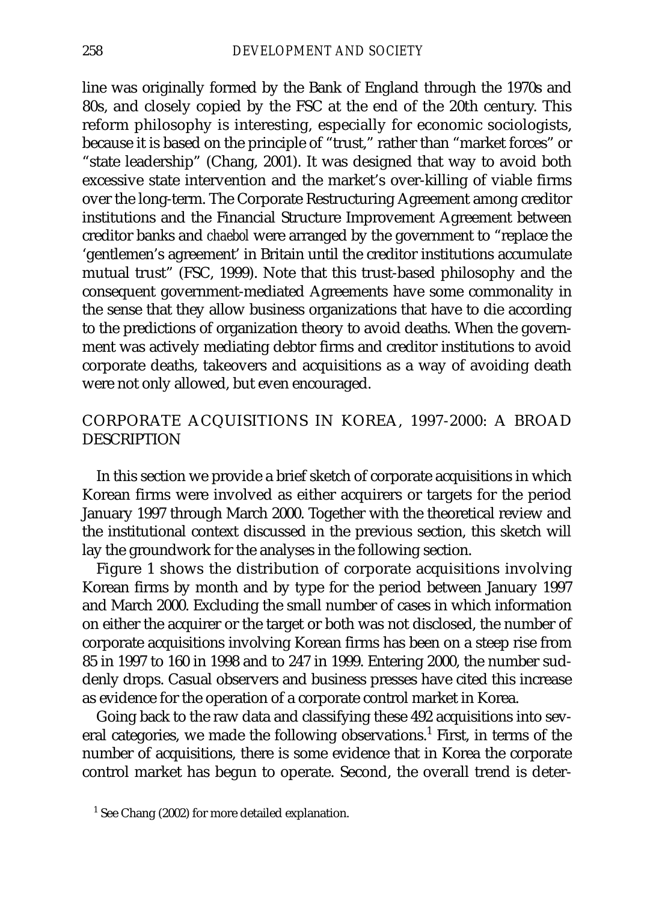line was originally formed by the Bank of England through the 1970s and 80s, and closely copied by the FSC at the end of the 20th century. This reform philosophy is interesting, especially for economic sociologists, because it is based on the principle of "trust," rather than "market forces" or "state leadership" (Chang, 2001). It was designed that way to avoid both excessive state intervention and the market's over-killing of viable firms over the long-term. The Corporate Restructuring Agreement among creditor institutions and the Financial Structure Improvement Agreement between creditor banks and *chaebol* were arranged by the government to "replace the 'gentlemen's agreement' in Britain until the creditor institutions accumulate mutual trust" (FSC, 1999). Note that this trust-based philosophy and the consequent government-mediated Agreements have some commonality in the sense that they allow business organizations that have to die according to the predictions of organization theory to avoid deaths. When the government was actively mediating debtor firms and creditor institutions to avoid corporate deaths, takeovers and acquisitions as a way of avoiding death were not only allowed, but even encouraged.

# CORPORATE ACQUISITIONS IN KOREA, 1997-2000: A BROAD **DESCRIPTION**

In this section we provide a brief sketch of corporate acquisitions in which Korean firms were involved as either acquirers or targets for the period January 1997 through March 2000. Together with the theoretical review and the institutional context discussed in the previous section, this sketch will lay the groundwork for the analyses in the following section.

Figure 1 shows the distribution of corporate acquisitions involving Korean firms by month and by type for the period between January 1997 and March 2000. Excluding the small number of cases in which information on either the acquirer or the target or both was not disclosed, the number of corporate acquisitions involving Korean firms has been on a steep rise from 85 in 1997 to 160 in 1998 and to 247 in 1999. Entering 2000, the number suddenly drops. Casual observers and business presses have cited this increase as evidence for the operation of a corporate control market in Korea.

Going back to the raw data and classifying these 492 acquisitions into several categories, we made the following observations.<sup>1</sup> First, in terms of the number of acquisitions, there is some evidence that in Korea the corporate control market has begun to operate. Second, the overall trend is deter-

<sup>&</sup>lt;sup>1</sup> See Chang (2002) for more detailed explanation.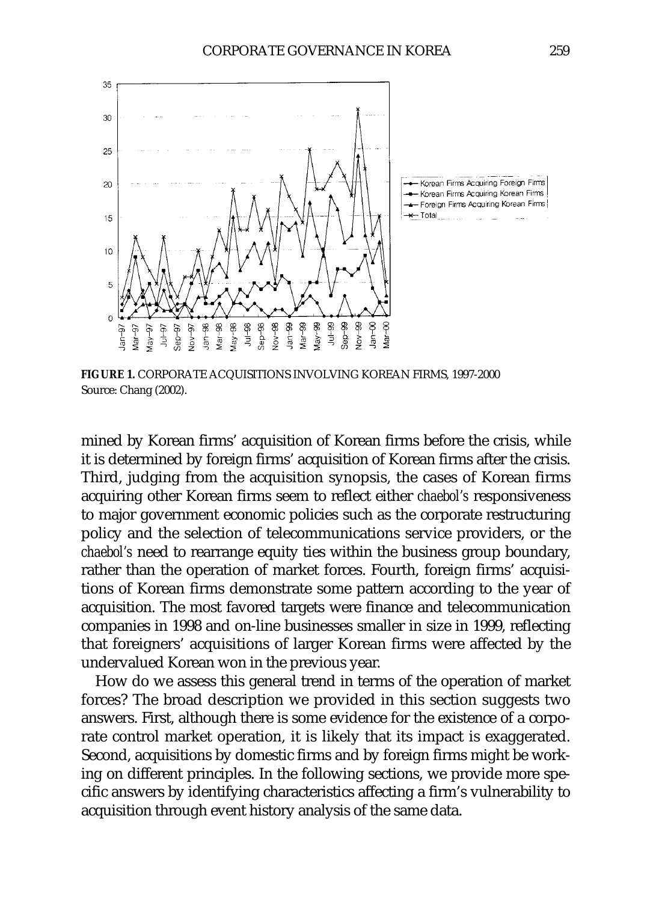

**FIGURE 1.** CORPORATE ACQUISITIONS INVOLVING KOREAN FIRMS, 1997-2000 Source: Chang (2002).

mined by Korean firms' acquisition of Korean firms before the crisis, while it is determined by foreign firms' acquisition of Korean firms after the crisis. Third, judging from the acquisition synopsis, the cases of Korean firms acquiring other Korean firms seem to reflect either *chaebol's* responsiveness to major government economic policies such as the corporate restructuring policy and the selection of telecommunications service providers, or the *chaebol's* need to rearrange equity ties within the business group boundary, rather than the operation of market forces. Fourth, foreign firms' acquisitions of Korean firms demonstrate some pattern according to the year of acquisition. The most favored targets were finance and telecommunication companies in 1998 and on-line businesses smaller in size in 1999, reflecting that foreigners' acquisitions of larger Korean firms were affected by the undervalued Korean won in the previous year.

How do we assess this general trend in terms of the operation of market forces? The broad description we provided in this section suggests two answers. First, although there is some evidence for the existence of a corporate control market operation, it is likely that its impact is exaggerated. Second, acquisitions by domestic firms and by foreign firms might be working on different principles. In the following sections, we provide more specific answers by identifying characteristics affecting a firm's vulnerability to acquisition through event history analysis of the same data.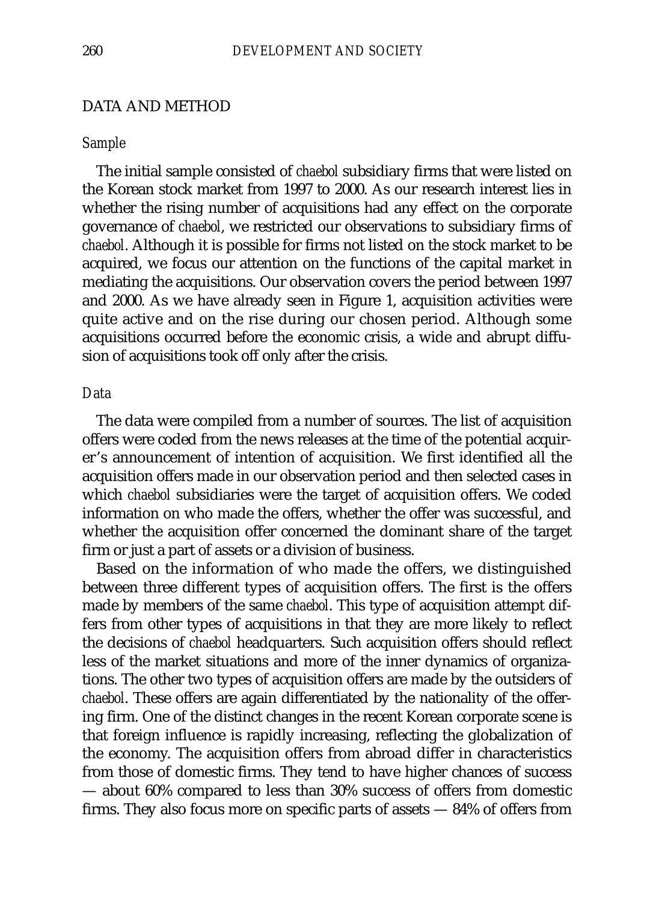## DATA AND METHOD

#### *Sample*

The initial sample consisted of *chaebol* subsidiary firms that were listed on the Korean stock market from 1997 to 2000. As our research interest lies in whether the rising number of acquisitions had any effect on the corporate governance of *chaebol*, we restricted our observations to subsidiary firms of *chaebol*. Although it is possible for firms not listed on the stock market to be acquired, we focus our attention on the functions of the capital market in mediating the acquisitions. Our observation covers the period between 1997 and 2000. As we have already seen in Figure 1, acquisition activities were quite active and on the rise during our chosen period. Although some acquisitions occurred before the economic crisis, a wide and abrupt diffusion of acquisitions took off only after the crisis.

### *Data*

The data were compiled from a number of sources. The list of acquisition offers were coded from the news releases at the time of the potential acquirer's announcement of intention of acquisition. We first identified all the acquisition offers made in our observation period and then selected cases in which *chaebol* subsidiaries were the target of acquisition offers. We coded information on who made the offers, whether the offer was successful, and whether the acquisition offer concerned the dominant share of the target firm or just a part of assets or a division of business.

Based on the information of who made the offers, we distinguished between three different types of acquisition offers. The first is the offers made by members of the same *chaebol*. This type of acquisition attempt differs from other types of acquisitions in that they are more likely to reflect the decisions of *chaebol* headquarters. Such acquisition offers should reflect less of the market situations and more of the inner dynamics of organizations. The other two types of acquisition offers are made by the outsiders of *chaebol*. These offers are again differentiated by the nationality of the offering firm. One of the distinct changes in the recent Korean corporate scene is that foreign influence is rapidly increasing, reflecting the globalization of the economy. The acquisition offers from abroad differ in characteristics from those of domestic firms. They tend to have higher chances of success — about 60% compared to less than 30% success of offers from domestic firms. They also focus more on specific parts of assets — 84% of offers from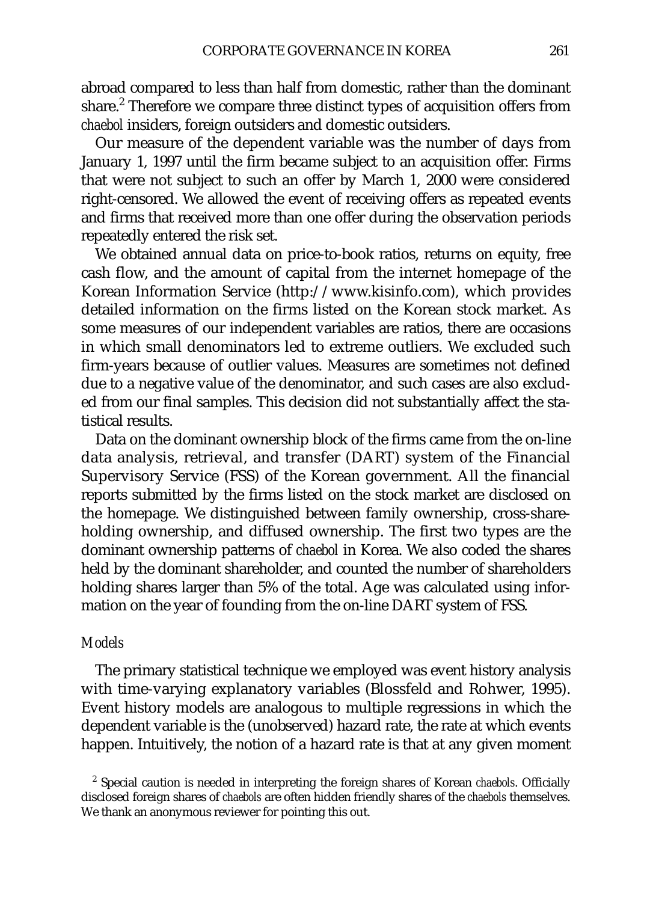abroad compared to less than half from domestic, rather than the dominant share.<sup>2</sup> Therefore we compare three distinct types of acquisition offers from *chaebol* insiders, foreign outsiders and domestic outsiders.

Our measure of the dependent variable was the number of days from January 1, 1997 until the firm became subject to an acquisition offer. Firms that were not subject to such an offer by March 1, 2000 were considered right-censored. We allowed the event of receiving offers as repeated events and firms that received more than one offer during the observation periods repeatedly entered the risk set.

We obtained annual data on price-to-book ratios, returns on equity, free cash flow, and the amount of capital from the internet homepage of the Korean Information Service (http://www.kisinfo.com), which provides detailed information on the firms listed on the Korean stock market. As some measures of our independent variables are ratios, there are occasions in which small denominators led to extreme outliers. We excluded such firm-years because of outlier values. Measures are sometimes not defined due to a negative value of the denominator, and such cases are also excluded from our final samples. This decision did not substantially affect the statistical results.

Data on the dominant ownership block of the firms came from the on-line data analysis, retrieval, and transfer (DART) system of the Financial Supervisory Service (FSS) of the Korean government. All the financial reports submitted by the firms listed on the stock market are disclosed on the homepage. We distinguished between family ownership, cross-shareholding ownership, and diffused ownership. The first two types are the dominant ownership patterns of *chaebol* in Korea. We also coded the shares held by the dominant shareholder, and counted the number of shareholders holding shares larger than 5% of the total. Age was calculated using information on the year of founding from the on-line DART system of FSS.

### *Models*

The primary statistical technique we employed was event history analysis with time-varying explanatory variables (Blossfeld and Rohwer, 1995). Event history models are analogous to multiple regressions in which the dependent variable is the (unobserved) hazard rate, the rate at which events happen. Intuitively, the notion of a hazard rate is that at any given moment

<sup>2</sup> Special caution is needed in interpreting the foreign shares of Korean *chaebols*. Officially disclosed foreign shares of *chaebols* are often hidden friendly shares of the *chaebols* themselves. We thank an anonymous reviewer for pointing this out.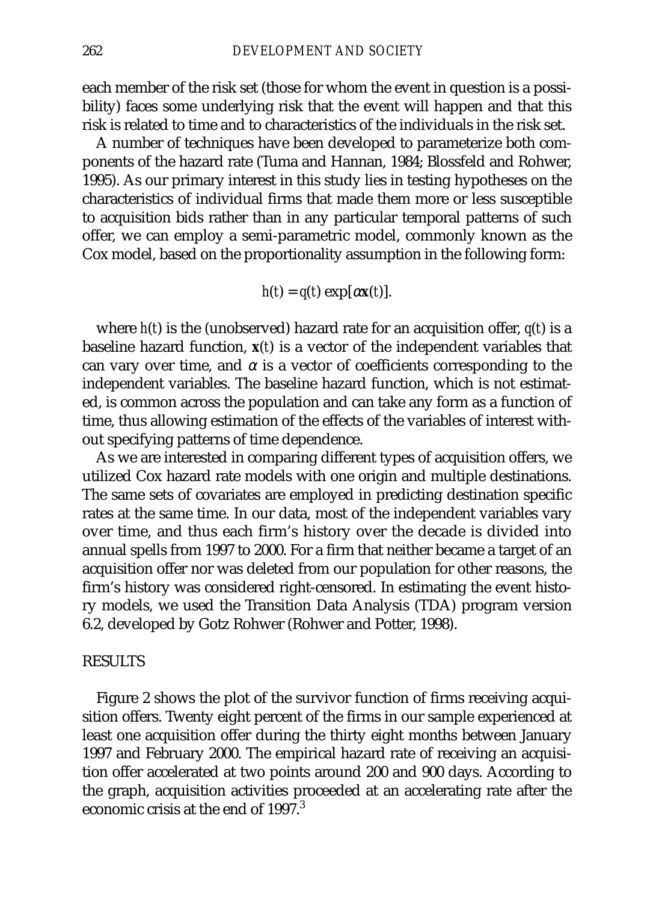each member of the risk set (those for whom the event in question is a possibility) faces some underlying risk that the event will happen and that this risk is related to time and to characteristics of the individuals in the risk set.

A number of techniques have been developed to parameterize both components of the hazard rate (Tuma and Hannan, 1984; Blossfeld and Rohwer, 1995). As our primary interest in this study lies in testing hypotheses on the characteristics of individual firms that made them more or less susceptible to acquisition bids rather than in any particular temporal patterns of such offer, we can employ a semi-parametric model, commonly known as the Cox model, based on the proportionality assumption in the following form:

$$
h(t) = q(t) \exp[\alpha \mathbf{x}(t)].
$$

where *h*(*t*) is the (unobserved) hazard rate for an acquisition offer, *q*(*t*) is a baseline hazard function, **x**(*t*) is a vector of the independent variables that can vary over time, and  $\alpha$  is a vector of coefficients corresponding to the independent variables. The baseline hazard function, which is not estimated, is common across the population and can take any form as a function of time, thus allowing estimation of the effects of the variables of interest without specifying patterns of time dependence.

As we are interested in comparing different types of acquisition offers, we utilized Cox hazard rate models with one origin and multiple destinations. The same sets of covariates are employed in predicting destination specific rates at the same time. In our data, most of the independent variables vary over time, and thus each firm's history over the decade is divided into annual spells from 1997 to 2000. For a firm that neither became a target of an acquisition offer nor was deleted from our population for other reasons, the firm's history was considered right-censored. In estimating the event history models, we used the Transition Data Analysis (TDA) program version 6.2, developed by Gotz Rohwer (Rohwer and Potter, 1998).

### RESULTS

Figure 2 shows the plot of the survivor function of firms receiving acquisition offers. Twenty eight percent of the firms in our sample experienced at least one acquisition offer during the thirty eight months between January 1997 and February 2000. The empirical hazard rate of receiving an acquisition offer accelerated at two points around 200 and 900 days. According to the graph, acquisition activities proceeded at an accelerating rate after the economic crisis at the end of  $1997<sup>3</sup>$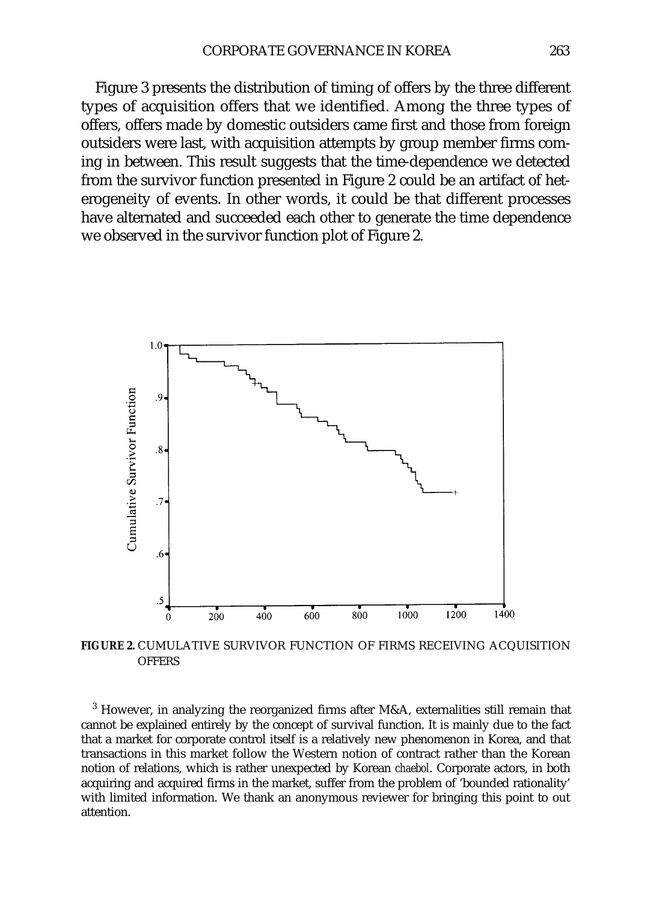Figure 3 presents the distribution of timing of offers by the three different types of acquisition offers that we identified. Among the three types of offers, offers made by domestic outsiders came first and those from foreign outsiders were last, with acquisition attempts by group member firms coming in between. This result suggests that the time-dependence we detected from the survivor function presented in Figure 2 could be an artifact of heterogeneity of events. In other words, it could be that different processes have alternated and succeeded each other to generate the time dependence we observed in the survivor function plot of Figure 2.



**FIGURE 2.** CUMULATIVE SURVIVOR FUNCTION OF FIRMS RECEIVING ACQUISITION **OFFERS** 

 $3$  However, in analyzing the reorganized firms after M&A, externalities still remain that cannot be explained entirely by the concept of survival function. It is mainly due to the fact that a market for corporate control itself is a relatively new phenomenon in Korea, and that transactions in this market follow the Western notion of contract rather than the Korean notion of relations, which is rather unexpected by Korean *chaebol*. Corporate actors, in both acquiring and acquired firms in the market, suffer from the problem of 'bounded rationality' with limited information. We thank an anonymous reviewer for bringing this point to out attention.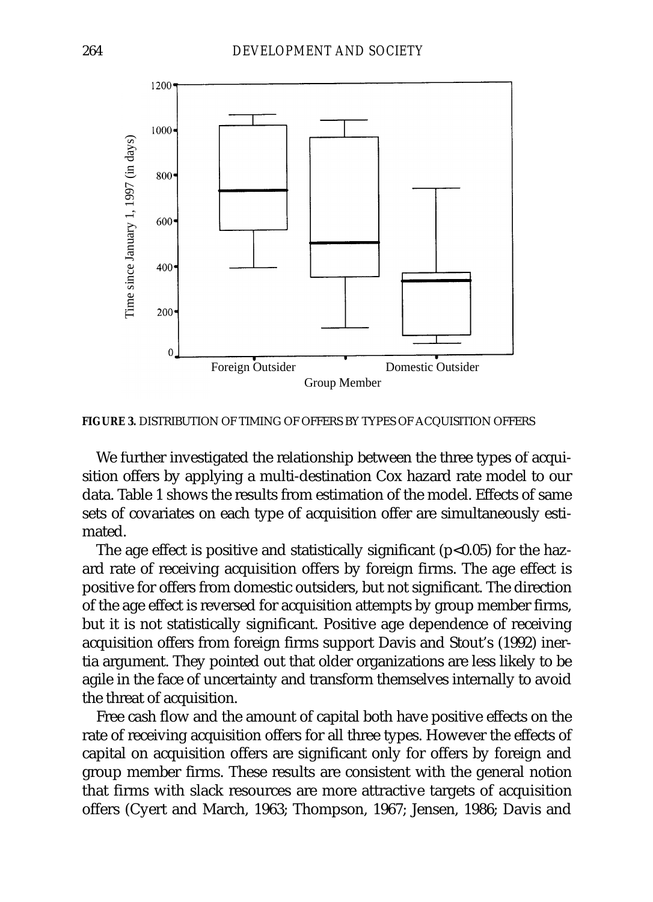

**FIGURE 3.** DISTRIBUTION OF TIMING OF OFFERS BY TYPES OF ACQUISITION OFFERS

We further investigated the relationship between the three types of acquisition offers by applying a multi-destination Cox hazard rate model to our data. Table 1 shows the results from estimation of the model. Effects of same sets of covariates on each type of acquisition offer are simultaneously estimated.

The age effect is positive and statistically significant  $(p<0.05)$  for the hazard rate of receiving acquisition offers by foreign firms. The age effect is positive for offers from domestic outsiders, but not significant. The direction of the age effect is reversed for acquisition attempts by group member firms, but it is not statistically significant. Positive age dependence of receiving acquisition offers from foreign firms support Davis and Stout's (1992) inertia argument. They pointed out that older organizations are less likely to be agile in the face of uncertainty and transform themselves internally to avoid the threat of acquisition.

Free cash flow and the amount of capital both have positive effects on the rate of receiving acquisition offers for all three types. However the effects of capital on acquisition offers are significant only for offers by foreign and group member firms. These results are consistent with the general notion that firms with slack resources are more attractive targets of acquisition offers (Cyert and March, 1963; Thompson, 1967; Jensen, 1986; Davis and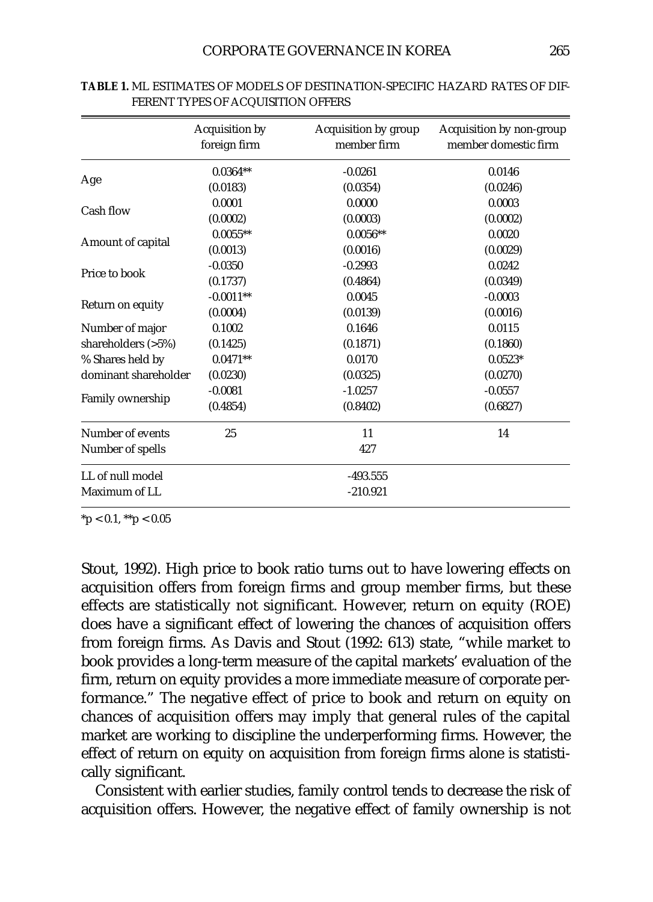|                      | Acquisition by<br>foreign firm | Acquisition by group<br>member firm | Acquisition by non-group<br>member domestic firm |  |  |
|----------------------|--------------------------------|-------------------------------------|--------------------------------------------------|--|--|
| Age                  | $0.0364**$                     | $-0.0261$                           | 0.0146                                           |  |  |
|                      | (0.0183)                       | (0.0354)                            | (0.0246)                                         |  |  |
| Cash flow            | 0.0001                         | 0.0000                              | 0.0003                                           |  |  |
|                      | (0.0002)                       | (0.0003)                            | (0.0002)                                         |  |  |
| Amount of capital    | $0.0055**$                     | $0.0056**$                          | 0.0020                                           |  |  |
|                      | (0.0013)                       | (0.0016)                            | (0.0029)                                         |  |  |
| Price to book        | $-0.0350$                      | $-0.2993$                           | 0.0242                                           |  |  |
|                      | (0.1737)                       | (0.4864)                            | (0.0349)                                         |  |  |
| Return on equity     | $-0.0011**$                    | 0.0045                              | $-0.0003$                                        |  |  |
|                      | (0.0004)                       | (0.0139)                            | (0.0016)                                         |  |  |
| Number of major      | 0.1002                         | 0.1646                              | 0.0115                                           |  |  |
| shareholders $(>5%)$ | (0.1425)                       | (0.1871)                            | (0.1860)                                         |  |  |
| % Shares held by     | $0.0471**$                     | 0.0170                              | $0.0523*$                                        |  |  |
| dominant shareholder | (0.0230)                       | (0.0325)                            | (0.0270)                                         |  |  |
| Family ownership     | $-0.0081$                      | $-1.0257$                           | $-0.0557$                                        |  |  |
|                      | (0.4854)                       | (0.8402)                            | (0.6827)                                         |  |  |
| Number of events     | 25                             | 11                                  | 14                                               |  |  |
| Number of spells     |                                | 427                                 |                                                  |  |  |
| LL of null model     |                                | $-493.555$                          |                                                  |  |  |
| Maximum of LL        |                                | $-210.921$                          |                                                  |  |  |

**TABLE 1.** ML ESTIMATES OF MODELS OF DESTINATION-SPECIFIC HAZARD RATES OF DIF-FERENT TYPES OF ACQUISITION OFFERS

 $*$ p < 0.1,  $*$  $*$ p < 0.05

Stout, 1992). High price to book ratio turns out to have lowering effects on acquisition offers from foreign firms and group member firms, but these effects are statistically not significant. However, return on equity (ROE) does have a significant effect of lowering the chances of acquisition offers from foreign firms. As Davis and Stout (1992: 613) state, "while market to book provides a long-term measure of the capital markets' evaluation of the firm, return on equity provides a more immediate measure of corporate performance." The negative effect of price to book and return on equity on chances of acquisition offers may imply that general rules of the capital market are working to discipline the underperforming firms. However, the effect of return on equity on acquisition from foreign firms alone is statistically significant.

Consistent with earlier studies, family control tends to decrease the risk of acquisition offers. However, the negative effect of family ownership is not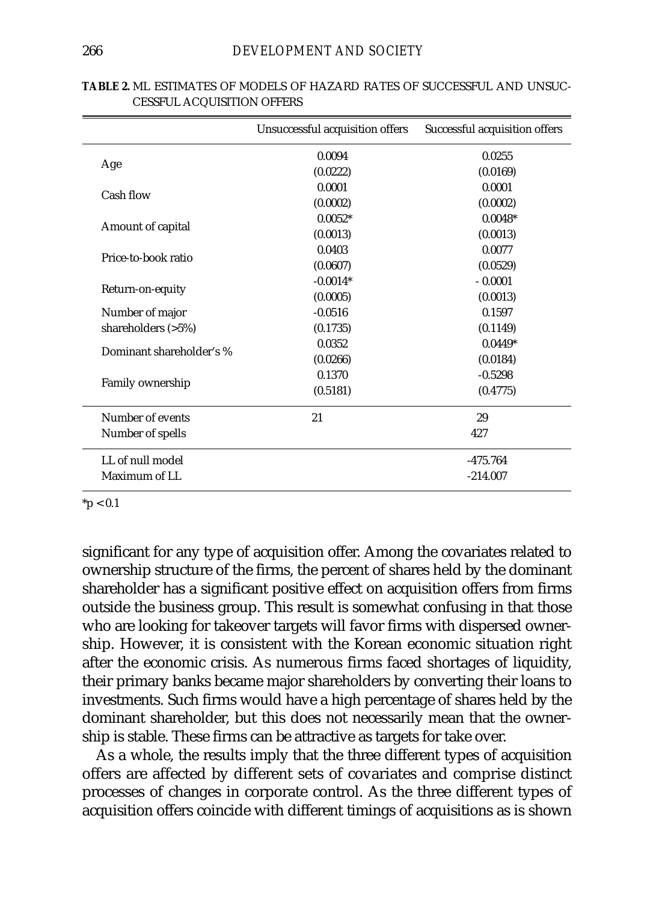|                          | Unsuccessful acquisition offers | Successful acquisition offers |  |  |
|--------------------------|---------------------------------|-------------------------------|--|--|
|                          | 0.0094                          | 0.0255                        |  |  |
| Age                      | (0.0222)                        | (0.0169)                      |  |  |
| Cash flow                | 0.0001                          | 0.0001                        |  |  |
|                          | (0.0002)                        | (0.0002)                      |  |  |
|                          | $0.0052*$                       | $0.0048*$                     |  |  |
| Amount of capital        | (0.0013)                        | (0.0013)                      |  |  |
| Price-to-book ratio      | 0.0403                          | 0.0077                        |  |  |
|                          | (0.0607)                        | (0.0529)                      |  |  |
|                          | $-0.0014*$                      | $-0.0001$                     |  |  |
| Return-on-equity         | (0.0005)                        | (0.0013)                      |  |  |
| Number of major          | $-0.0516$                       | 0.1597                        |  |  |
| shareholders $(>5%)$     | (0.1735)                        | (0.1149)                      |  |  |
| Dominant shareholder's % | 0.0352                          | $0.0449*$                     |  |  |
|                          | (0.0266)                        | (0.0184)                      |  |  |
|                          | 0.1370                          | $-0.5298$                     |  |  |
| Family ownership         | (0.5181)                        | (0.4775)                      |  |  |
| Number of events         | 21                              | 29                            |  |  |
| Number of spells         |                                 | 427                           |  |  |
| LL of null model         |                                 | $-475.764$                    |  |  |
| Maximum of LL            |                                 | $-214.007$                    |  |  |

| <b>TABLE 2. ML ESTIMATES OF MODELS OF HAZARD RATES OF SUCCESSFUL AND UNSUC-</b> |  |  |  |
|---------------------------------------------------------------------------------|--|--|--|
| <b>CESSFUL ACQUISITION OFFERS</b>                                               |  |  |  |

 $*$ p < 0.1

significant for any type of acquisition offer. Among the covariates related to ownership structure of the firms, the percent of shares held by the dominant shareholder has a significant positive effect on acquisition offers from firms outside the business group. This result is somewhat confusing in that those who are looking for takeover targets will favor firms with dispersed ownership. However, it is consistent with the Korean economic situation right after the economic crisis. As numerous firms faced shortages of liquidity, their primary banks became major shareholders by converting their loans to investments. Such firms would have a high percentage of shares held by the dominant shareholder, but this does not necessarily mean that the ownership is stable. These firms can be attractive as targets for take over.

As a whole, the results imply that the three different types of acquisition offers are affected by different sets of covariates and comprise distinct processes of changes in corporate control. As the three different types of acquisition offers coincide with different timings of acquisitions as is shown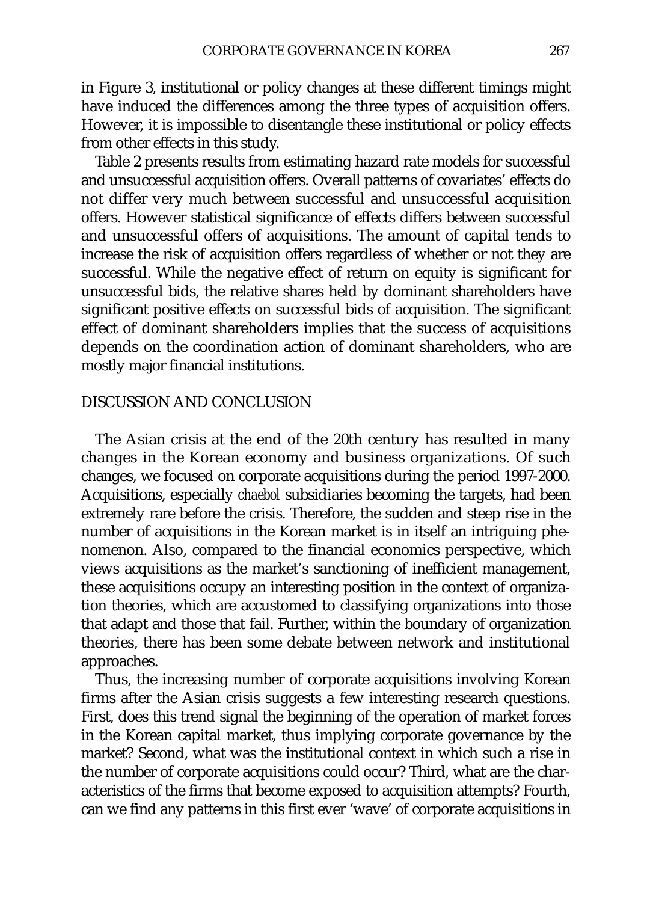in Figure 3, institutional or policy changes at these different timings might have induced the differences among the three types of acquisition offers. However, it is impossible to disentangle these institutional or policy effects from other effects in this study.

Table 2 presents results from estimating hazard rate models for successful and unsuccessful acquisition offers. Overall patterns of covariates' effects do not differ very much between successful and unsuccessful acquisition offers. However statistical significance of effects differs between successful and unsuccessful offers of acquisitions. The amount of capital tends to increase the risk of acquisition offers regardless of whether or not they are successful. While the negative effect of return on equity is significant for unsuccessful bids, the relative shares held by dominant shareholders have significant positive effects on successful bids of acquisition. The significant effect of dominant shareholders implies that the success of acquisitions depends on the coordination action of dominant shareholders, who are mostly major financial institutions.

## DISCUSSION AND CONCLUSION

The Asian crisis at the end of the 20th century has resulted in many changes in the Korean economy and business organizations. Of such changes, we focused on corporate acquisitions during the period 1997-2000. Acquisitions, especially *chaebol* subsidiaries becoming the targets, had been extremely rare before the crisis. Therefore, the sudden and steep rise in the number of acquisitions in the Korean market is in itself an intriguing phenomenon. Also, compared to the financial economics perspective, which views acquisitions as the market's sanctioning of inefficient management, these acquisitions occupy an interesting position in the context of organization theories, which are accustomed to classifying organizations into those that adapt and those that fail. Further, within the boundary of organization theories, there has been some debate between network and institutional approaches.

Thus, the increasing number of corporate acquisitions involving Korean firms after the Asian crisis suggests a few interesting research questions. First, does this trend signal the beginning of the operation of market forces in the Korean capital market, thus implying corporate governance by the market? Second, what was the institutional context in which such a rise in the number of corporate acquisitions could occur? Third, what are the characteristics of the firms that become exposed to acquisition attempts? Fourth, can we find any patterns in this first ever 'wave' of corporate acquisitions in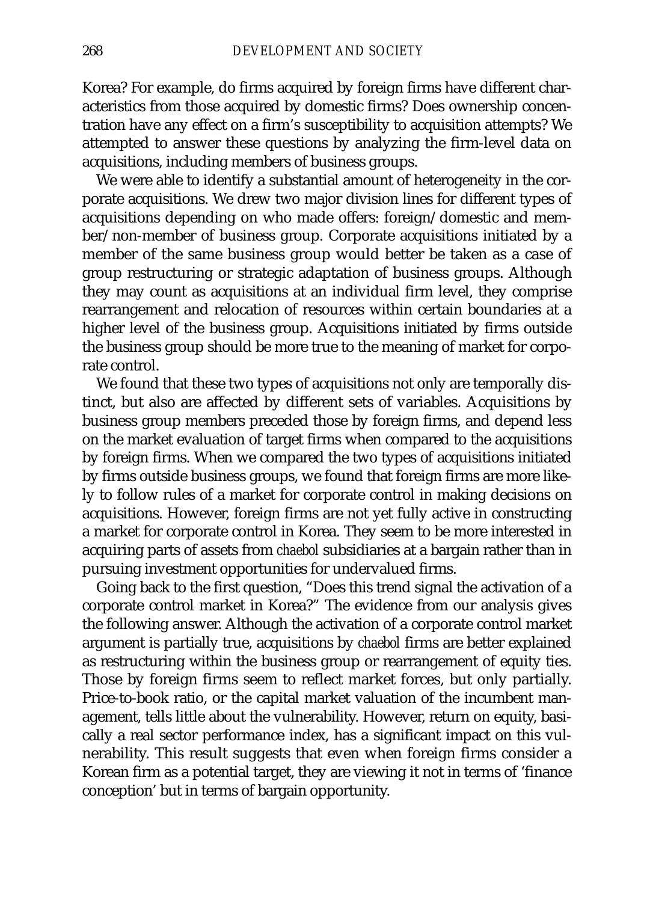Korea? For example, do firms acquired by foreign firms have different characteristics from those acquired by domestic firms? Does ownership concentration have any effect on a firm's susceptibility to acquisition attempts? We attempted to answer these questions by analyzing the firm-level data on acquisitions, including members of business groups.

We were able to identify a substantial amount of heterogeneity in the corporate acquisitions. We drew two major division lines for different types of acquisitions depending on who made offers: foreign/domestic and member/non-member of business group. Corporate acquisitions initiated by a member of the same business group would better be taken as a case of group restructuring or strategic adaptation of business groups. Although they may count as acquisitions at an individual firm level, they comprise rearrangement and relocation of resources within certain boundaries at a higher level of the business group. Acquisitions initiated by firms outside the business group should be more true to the meaning of market for corporate control.

We found that these two types of acquisitions not only are temporally distinct, but also are affected by different sets of variables. Acquisitions by business group members preceded those by foreign firms, and depend less on the market evaluation of target firms when compared to the acquisitions by foreign firms. When we compared the two types of acquisitions initiated by firms outside business groups, we found that foreign firms are more likely to follow rules of a market for corporate control in making decisions on acquisitions. However, foreign firms are not yet fully active in constructing a market for corporate control in Korea. They seem to be more interested in acquiring parts of assets from *chaebol* subsidiaries at a bargain rather than in pursuing investment opportunities for undervalued firms.

Going back to the first question, "Does this trend signal the activation of a corporate control market in Korea?" The evidence from our analysis gives the following answer. Although the activation of a corporate control market argument is partially true, acquisitions by *chaebol* firms are better explained as restructuring within the business group or rearrangement of equity ties. Those by foreign firms seem to reflect market forces, but only partially. Price-to-book ratio, or the capital market valuation of the incumbent management, tells little about the vulnerability. However, return on equity, basically a real sector performance index, has a significant impact on this vulnerability. This result suggests that even when foreign firms consider a Korean firm as a potential target, they are viewing it not in terms of 'finance conception' but in terms of bargain opportunity.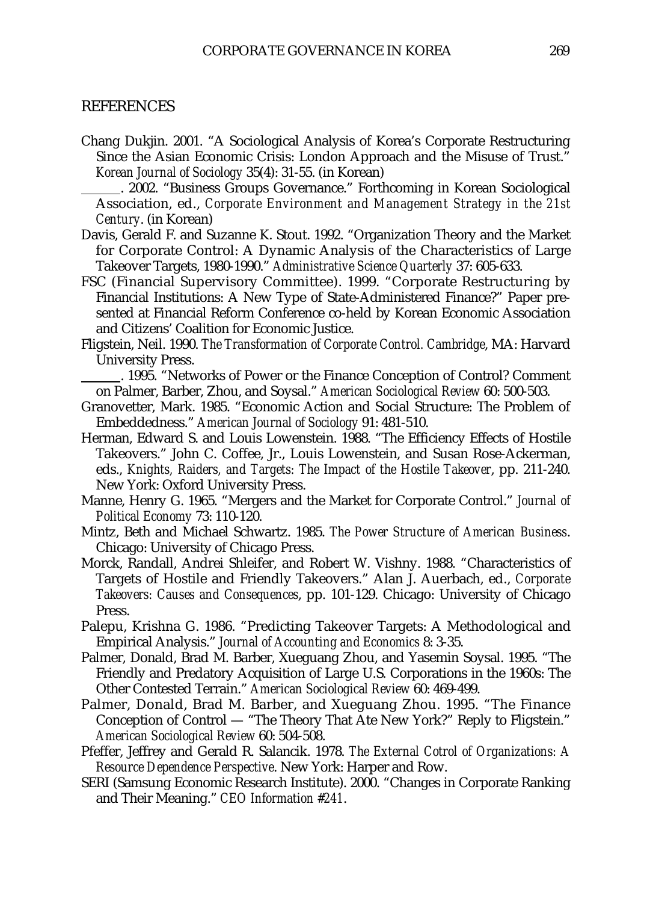#### REFERENCES

Chang Dukjin. 2001. "A Sociological Analysis of Korea's Corporate Restructuring Since the Asian Economic Crisis: London Approach and the Misuse of Trust." *Korean Journal of Sociology* 35(4): 31-55. (in Korean)

. 2002. "Business Groups Governance." Forthcoming in Korean Sociological Association, ed., *Corporate Environment and Management Strategy in the 21st Century*. (in Korean)

- Davis, Gerald F. and Suzanne K. Stout. 1992. "Organization Theory and the Market for Corporate Control: A Dynamic Analysis of the Characteristics of Large Takeover Targets, 1980-1990." *Administrative Science Quarterly* 37: 605-633.
- FSC (Financial Supervisory Committee). 1999. "Corporate Restructuring by Financial Institutions: A New Type of State-Administered Finance?" Paper presented at Financial Reform Conference co-held by Korean Economic Association and Citizens' Coalition for Economic Justice.
- Fligstein, Neil. 1990. *The Transformation of Corporate Control. Cambridge*, MA: Harvard University Press.

. 1995. "Networks of Power or the Finance Conception of Control? Comment on Palmer, Barber, Zhou, and Soysal." *American Sociological Review* 60: 500-503.

- Granovetter, Mark. 1985. "Economic Action and Social Structure: The Problem of Embeddedness." *American Journal of Sociology* 91: 481-510.
- Herman, Edward S. and Louis Lowenstein. 1988. "The Efficiency Effects of Hostile Takeovers." John C. Coffee, Jr., Louis Lowenstein, and Susan Rose-Ackerman, eds., *Knights, Raiders, and Targets: The Impact of the Hostile Takeover*, pp. 211-240. New York: Oxford University Press.
- Manne, Henry G. 1965. "Mergers and the Market for Corporate Control." *Journal of Political Economy* 73: 110-120.
- Mintz, Beth and Michael Schwartz. 1985. *The Power Structure of American Business*. Chicago: University of Chicago Press.
- Morck, Randall, Andrei Shleifer, and Robert W. Vishny. 1988. "Characteristics of Targets of Hostile and Friendly Takeovers." Alan J. Auerbach, ed., *Corporate Takeovers: Causes and Consequences*, pp. 101-129. Chicago: University of Chicago Press.
- Palepu, Krishna G. 1986. "Predicting Takeover Targets: A Methodological and Empirical Analysis." *Journal of Accounting and Economics* 8: 3-35.
- Palmer, Donald, Brad M. Barber, Xueguang Zhou, and Yasemin Soysal. 1995. "The Friendly and Predatory Acquisition of Large U.S. Corporations in the 1960s: The Other Contested Terrain." *American Sociological Review* 60: 469-499.
- Palmer, Donald, Brad M. Barber, and Xueguang Zhou. 1995. "The Finance Conception of Control — "The Theory That Ate New York?" Reply to Fligstein." *American Sociological Review* 60: 504-508.
- Pfeffer, Jeffrey and Gerald R. Salancik. 1978. *The External Cotrol of Organizations: A Resource Dependence Perspective*. New York: Harper and Row.
- SERI (Samsung Economic Research Institute). 2000. "Changes in Corporate Ranking and Their Meaning." *CEO Information #241*.